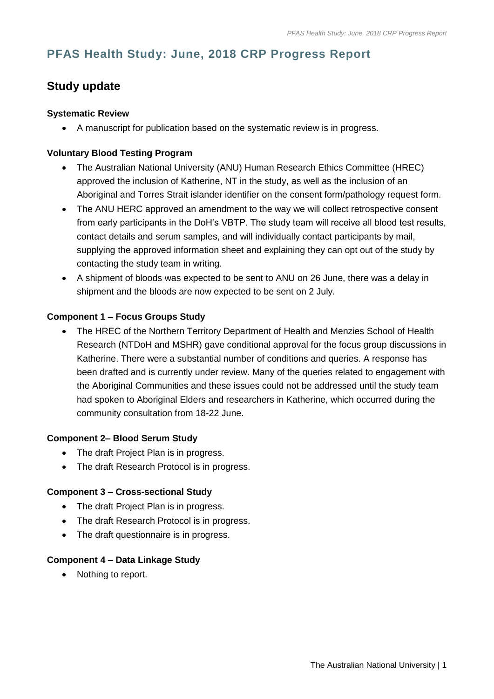# **PFAS Health Study: June, 2018 CRP Progress Report**

# **Study update**

### **Systematic Review**

A manuscript for publication based on the systematic review is in progress.

## **Voluntary Blood Testing Program**

- The Australian National University (ANU) Human Research Ethics Committee (HREC) approved the inclusion of Katherine, NT in the study, as well as the inclusion of an Aboriginal and Torres Strait islander identifier on the consent form/pathology request form.
- The ANU HERC approved an amendment to the way we will collect retrospective consent from early participants in the DoH's VBTP. The study team will receive all blood test results, contact details and serum samples, and will individually contact participants by mail, supplying the approved information sheet and explaining they can opt out of the study by contacting the study team in writing.
- A shipment of bloods was expected to be sent to ANU on 26 June, there was a delay in shipment and the bloods are now expected to be sent on 2 July.

### **Component 1 – Focus Groups Study**

• The HREC of the Northern Territory Department of Health and Menzies School of Health Research (NTDoH and MSHR) gave conditional approval for the focus group discussions in Katherine. There were a substantial number of conditions and queries. A response has been drafted and is currently under review. Many of the queries related to engagement with the Aboriginal Communities and these issues could not be addressed until the study team had spoken to Aboriginal Elders and researchers in Katherine, which occurred during the community consultation from 18-22 June.

#### **Component 2– Blood Serum Study**

- The draft Project Plan is in progress.
- The draft Research Protocol is in progress.

#### **Component 3 – Cross-sectional Study**

- The draft Project Plan is in progress.
- The draft Research Protocol is in progress.
- The draft questionnaire is in progress.

#### **Component 4 – Data Linkage Study**

• Nothing to report.